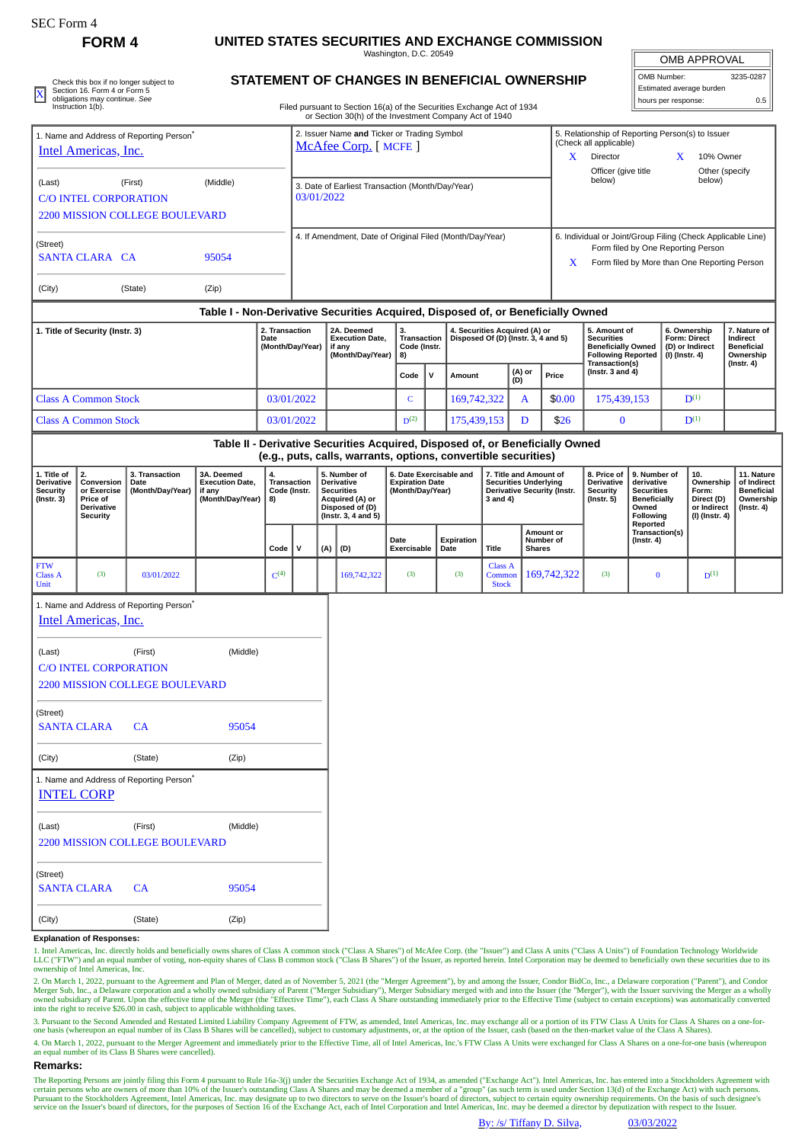## **FORM 4 UNITED STATES SECURITIES AND EXCHANGE COMMISSION**

Washington, D.C. 20549 **STATEMENT OF CHANGES IN BENEFICIAL OWNERSHIP**

|                          | <b>OMB APPROVAL</b> |  |  |  |  |  |  |  |  |
|--------------------------|---------------------|--|--|--|--|--|--|--|--|
| OMB Number:              | 3235-0287           |  |  |  |  |  |  |  |  |
| Estimated average burden |                     |  |  |  |  |  |  |  |  |

Filed pursuant to Section 16(a) of the Securities Exchange Act of 1934 Check this box if no longer subject to<br>
SIAI EMENT OF CHANGES IN BENEFICIAL OWNERSHIP<br>
obligation 5 Accion 16. Filed pursuant to Section 16(a) of the Securities Exchange Act of 1934<br>
Instruction 1(b). Filed pursuant to Sec

|                                                                                                        |                                                                              |                                                      |                                                                                  |                                         |                                                                    |     |                                                                                                                                                 |                                                                       |                                      | or Section 30(h) of the Investment Company Act of 1940               |                                                                                                          |                                         |                                                                                                               |                                                                                                                                                        |                                                                                                     |              |                                                                    |                                                                                 |  |
|--------------------------------------------------------------------------------------------------------|------------------------------------------------------------------------------|------------------------------------------------------|----------------------------------------------------------------------------------|-----------------------------------------|--------------------------------------------------------------------|-----|-------------------------------------------------------------------------------------------------------------------------------------------------|-----------------------------------------------------------------------|--------------------------------------|----------------------------------------------------------------------|----------------------------------------------------------------------------------------------------------|-----------------------------------------|---------------------------------------------------------------------------------------------------------------|--------------------------------------------------------------------------------------------------------------------------------------------------------|-----------------------------------------------------------------------------------------------------|--------------|--------------------------------------------------------------------|---------------------------------------------------------------------------------|--|
| 1. Name and Address of Reporting Person <sup>7</sup><br>Intel Americas, Inc.                           |                                                                              |                                                      |                                                                                  |                                         | 2. Issuer Name and Ticker or Trading Symbol<br>McAfee Corp. [MCFE] |     |                                                                                                                                                 |                                                                       |                                      |                                                                      |                                                                                                          |                                         | X.                                                                                                            | (Check all applicable)<br>Director                                                                                                                     |                                                                                                     |              | 5. Relationship of Reporting Person(s) to Issuer<br>10% Owner<br>X |                                                                                 |  |
| (First)<br>(Middle)<br>(Last)<br><b>C/O INTEL CORPORATION</b><br><b>2200 MISSION COLLEGE BOULEVARD</b> |                                                                              |                                                      |                                                                                  |                                         | 3. Date of Earliest Transaction (Month/Day/Year)<br>03/01/2022     |     |                                                                                                                                                 |                                                                       |                                      |                                                                      |                                                                                                          |                                         |                                                                                                               | Officer (give title<br>below)                                                                                                                          |                                                                                                     |              | Other (specify<br>below)                                           |                                                                                 |  |
| (Street)                                                                                               | <b>SANTA CLARA CA</b>                                                        |                                                      | 95054                                                                            |                                         | 4. If Amendment, Date of Original Filed (Month/Day/Year)           |     |                                                                                                                                                 |                                                                       |                                      |                                                                      |                                                                                                          |                                         |                                                                                                               | 6. Individual or Joint/Group Filing (Check Applicable Line)<br>Form filed by One Reporting Person<br>Form filed by More than One Reporting Person<br>X |                                                                                                     |              |                                                                    |                                                                                 |  |
| (City)                                                                                                 |                                                                              | (State)                                              | (Zip)                                                                            |                                         |                                                                    |     |                                                                                                                                                 |                                                                       |                                      |                                                                      |                                                                                                          |                                         |                                                                                                               |                                                                                                                                                        |                                                                                                     |              |                                                                    |                                                                                 |  |
|                                                                                                        |                                                                              |                                                      | Table I - Non-Derivative Securities Acquired, Disposed of, or Beneficially Owned |                                         |                                                                    |     |                                                                                                                                                 |                                                                       |                                      |                                                                      |                                                                                                          |                                         |                                                                                                               |                                                                                                                                                        |                                                                                                     |              |                                                                    |                                                                                 |  |
| 1. Title of Security (Instr. 3)<br>Date                                                                |                                                                              |                                                      |                                                                                  |                                         | 2. Transaction<br>(Month/Day/Year)                                 |     | 2A. Deemed<br><b>Execution Date,</b><br>if any<br>(Month/Day/Year)                                                                              | 3.<br>Transaction<br>Code (Instr.<br>8)                               |                                      | 4. Securities Acquired (A) or<br>Disposed Of (D) (Instr. 3, 4 and 5) |                                                                                                          |                                         | 5. Amount of<br><b>Securities</b><br><b>Beneficially Owned</b><br><b>Following Reported</b><br>Transaction(s) |                                                                                                                                                        | 6. Ownership<br><b>Form: Direct</b><br>(D) or Indirect<br>(I) (Instr. 4)                            |              | 7. Nature of<br>Indirect<br><b>Beneficial</b><br>Ownership         |                                                                                 |  |
|                                                                                                        |                                                                              |                                                      |                                                                                  |                                         |                                                                    |     |                                                                                                                                                 | Code                                                                  | $\mathbf v$                          | Amount                                                               |                                                                                                          | (A) or<br>(D)                           | Price                                                                                                         | (Instr. $3$ and $4$ )                                                                                                                                  |                                                                                                     |              |                                                                    | $($ Instr. 4 $)$                                                                |  |
|                                                                                                        | <b>Class A Common Stock</b>                                                  |                                                      |                                                                                  |                                         | 03/01/2022                                                         |     |                                                                                                                                                 | $\mathsf{C}$                                                          |                                      | 169,742,322                                                          |                                                                                                          | $\mathbf{A}$                            | \$0.00                                                                                                        | 175,439,153                                                                                                                                            |                                                                                                     | $D^{(1)}$    |                                                                    |                                                                                 |  |
|                                                                                                        | <b>Class A Common Stock</b>                                                  |                                                      |                                                                                  | 03/01/2022                              |                                                                    |     |                                                                                                                                                 |                                                                       | D <sup>(2)</sup><br>175,439,153<br>D |                                                                      |                                                                                                          | \$26                                    | $\bf{0}$                                                                                                      |                                                                                                                                                        | $\mathbf{D}^{(1)}$                                                                                  |              |                                                                    |                                                                                 |  |
|                                                                                                        |                                                                              |                                                      |                                                                                  |                                         |                                                                    |     | Table II - Derivative Securities Acquired, Disposed of, or Beneficially Owned<br>(e.g., puts, calls, warrants, options, convertible securities) |                                                                       |                                      |                                                                      |                                                                                                          |                                         |                                                                                                               |                                                                                                                                                        |                                                                                                     |              |                                                                    |                                                                                 |  |
| 1. Title of<br><b>Derivative</b><br><b>Security</b><br>$($ Instr. 3 $)$                                | 2.<br>Conversion<br>or Exercise<br>Price of<br>Derivative<br><b>Security</b> | 3. Transaction<br>Date<br>(Month/Day/Year)           | 3A. Deemed<br><b>Execution Date,</b><br>if any<br>(Month/Day/Year)               | 4.<br>Transaction<br>Code (Instr.<br>8) |                                                                    |     | 5. Number of<br>Derivative<br><b>Securities</b><br>Acquired (A) or<br>Disposed of (D)<br>(Instr. 3, 4 and 5)                                    | 6. Date Exercisable and<br><b>Expiration Date</b><br>(Month/Day/Year) |                                      |                                                                      | 7. Title and Amount of<br><b>Securities Underlying</b><br><b>Derivative Security (Instr.</b><br>3 and 4) |                                         |                                                                                                               | 8. Price of<br>Derivative<br><b>Security</b><br>$($ Instr. 5 $)$                                                                                       | 9. Number of<br>derivative<br><b>Securities</b><br><b>Beneficially</b><br>Owned<br><b>Following</b> | 10.<br>Form: | Ownership<br>Direct (D)<br>or Indirect<br>(I) (Instr. 4)           | 11. Nature<br>of Indirect<br><b>Beneficial</b><br>Ownership<br>$($ Instr. 4 $)$ |  |
|                                                                                                        |                                                                              |                                                      |                                                                                  | Code                                    | v                                                                  | (A) | (D)                                                                                                                                             | Date<br>Exercisable                                                   |                                      | Expiration<br>Date                                                   | <b>Title</b>                                                                                             | Amount or<br>Number of<br><b>Shares</b> |                                                                                                               |                                                                                                                                                        | Reported<br>Transaction(s)<br>$($ Instr. 4 $)$                                                      |              |                                                                    |                                                                                 |  |
| <b>FTW</b><br><b>Class A</b><br>Unit                                                                   | (3)                                                                          | 03/01/2022                                           |                                                                                  | C <sup>(4)</sup>                        |                                                                    |     | 169,742,322                                                                                                                                     | (3)                                                                   |                                      | (3)                                                                  | <b>Class A</b><br>Common<br><b>Stock</b>                                                                 |                                         | 169,742,322                                                                                                   | (3)                                                                                                                                                    | $\bf{0}$                                                                                            |              | $D^{(1)}$                                                          |                                                                                 |  |
|                                                                                                        | Intel Americas, Inc.                                                         | 1. Name and Address of Reporting Person <sup>*</sup> |                                                                                  |                                         |                                                                    |     |                                                                                                                                                 |                                                                       |                                      |                                                                      |                                                                                                          |                                         |                                                                                                               |                                                                                                                                                        |                                                                                                     |              |                                                                    |                                                                                 |  |
| (Last)                                                                                                 | <b>C/O INTEL CORPORATION</b>                                                 | (First)                                              | (Middle)                                                                         |                                         |                                                                    |     |                                                                                                                                                 |                                                                       |                                      |                                                                      |                                                                                                          |                                         |                                                                                                               |                                                                                                                                                        |                                                                                                     |              |                                                                    |                                                                                 |  |
|                                                                                                        |                                                                              | <b>2200 MISSION COLLEGE BOULEVARD</b>                |                                                                                  |                                         |                                                                    |     |                                                                                                                                                 |                                                                       |                                      |                                                                      |                                                                                                          |                                         |                                                                                                               |                                                                                                                                                        |                                                                                                     |              |                                                                    |                                                                                 |  |
| (Street)                                                                                               | SANTA CLARA                                                                  | <b>CA</b>                                            | 95054                                                                            |                                         |                                                                    |     |                                                                                                                                                 |                                                                       |                                      |                                                                      |                                                                                                          |                                         |                                                                                                               |                                                                                                                                                        |                                                                                                     |              |                                                                    |                                                                                 |  |
| (City)                                                                                                 |                                                                              | (State)                                              | (Zip)                                                                            |                                         |                                                                    |     |                                                                                                                                                 |                                                                       |                                      |                                                                      |                                                                                                          |                                         |                                                                                                               |                                                                                                                                                        |                                                                                                     |              |                                                                    |                                                                                 |  |
|                                                                                                        | <b>INTEL CORP</b>                                                            | 1. Name and Address of Reporting Person <sup>®</sup> |                                                                                  |                                         |                                                                    |     |                                                                                                                                                 |                                                                       |                                      |                                                                      |                                                                                                          |                                         |                                                                                                               |                                                                                                                                                        |                                                                                                     |              |                                                                    |                                                                                 |  |
| (Last)                                                                                                 |                                                                              | (First)<br><b>2200 MISSION COLLEGE BOULEVARD</b>     | (Middle)                                                                         |                                         |                                                                    |     |                                                                                                                                                 |                                                                       |                                      |                                                                      |                                                                                                          |                                         |                                                                                                               |                                                                                                                                                        |                                                                                                     |              |                                                                    |                                                                                 |  |
| (Street)                                                                                               | <b>SANTA CLARA</b>                                                           | CA                                                   | 95054                                                                            |                                         |                                                                    |     |                                                                                                                                                 |                                                                       |                                      |                                                                      |                                                                                                          |                                         |                                                                                                               |                                                                                                                                                        |                                                                                                     |              |                                                                    |                                                                                 |  |

1. Intel Americas, Inc. directly holds and beneficially owns shares of Class A common stock ("Class A Shares") of McAfee Corp. (the "Issuer") and Class A units ("Class A Units") of Foundation Technology Worldwide<br>LLC ("FTW ownership of Intel Americas, Inc.

2. On March 1, 2022, pursuant to the Agreement and Plan of Merger, dated as of November 5, 2021 (the "Merger Agreement"), by and among the Issuer, Condor BidCo, Inc., a Delaware corporation ("Parent"), and Condor<br>Merger Su into the right to receive \$26.00 in cash, subject to applicable withholding taxes.

3. Pursuant to the Second Amended and Restated Limited Liability Company Agreement of FTW, as amended, Intel Americas, Inc. may exchange all or a portion of its FTW Class A Units for Class A Shares on a one-forone basis (whereupon an equal number of its Class B Shares will be cancelled), subject to customary adjustments, or, at the option of the Issuer, cash (based on the then-market value of the Class A Shares).

4. On March 1, 2022, pursuant to the Merger Agreement and immediately prior to the Effective Time, all of Intel Americas, Inc.'s FTW Class A Units were exchanged for Class A Shares on a one-for-one basis (whereupon an equal number of its Class B Shares were cancelled).

## **Remarks:**

The Reporting Persons are jointly filing this Form 4 pursuant to Rule 16a-3(j) under the Securities Exchange Act of 1934, as amended ("Exchange Act"). Intel Americas, Inc. has entered into a Stockholders Agreement with<br>cer service on the Issuer's board of directors, for the purposes of Section 16 of the Exchange Act, each of Intel Corporation and Intel Americas, Inc. may be deemed a director by deputization with respect to the Issuer.